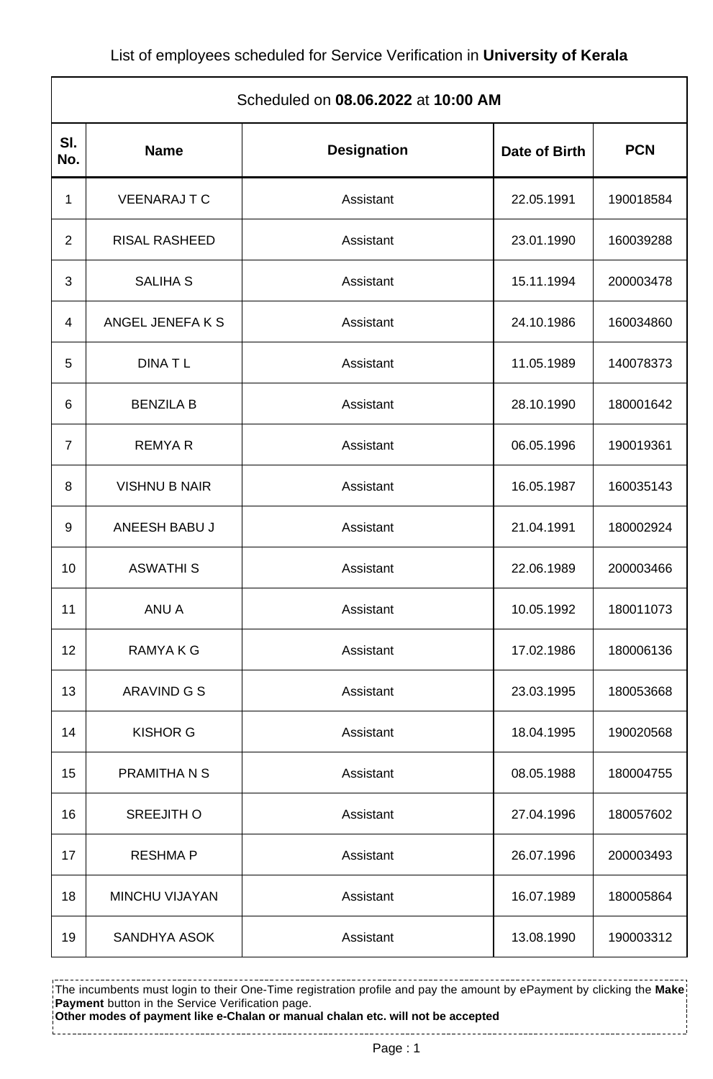| Scheduled on 08.06.2022 at 10:00 AM |                      |                    |               |            |  |  |
|-------------------------------------|----------------------|--------------------|---------------|------------|--|--|
| SI.<br>No.                          | <b>Name</b>          | <b>Designation</b> | Date of Birth | <b>PCN</b> |  |  |
| 1                                   | <b>VEENARAJ T C</b>  | Assistant          | 22.05.1991    | 190018584  |  |  |
| 2                                   | <b>RISAL RASHEED</b> | Assistant          | 23.01.1990    | 160039288  |  |  |
| 3                                   | <b>SALIHA S</b>      | Assistant          | 15.11.1994    | 200003478  |  |  |
| 4                                   | ANGEL JENEFA K S     | Assistant          | 24.10.1986    | 160034860  |  |  |
| 5                                   | <b>DINATL</b>        | Assistant          | 11.05.1989    | 140078373  |  |  |
| 6                                   | <b>BENZILA B</b>     | Assistant          | 28.10.1990    | 180001642  |  |  |
| $\overline{7}$                      | <b>REMYAR</b>        | Assistant          | 06.05.1996    | 190019361  |  |  |
| 8                                   | <b>VISHNU B NAIR</b> | Assistant          | 16.05.1987    | 160035143  |  |  |
| 9                                   | ANEESH BABU J        | Assistant          | 21.04.1991    | 180002924  |  |  |
| 10                                  | <b>ASWATHIS</b>      | Assistant          | 22.06.1989    | 200003466  |  |  |
| 11                                  | ANU A                | Assistant          | 10.05.1992    | 180011073  |  |  |
| 12                                  | RAMYA K G            | Assistant          | 17.02.1986    | 180006136  |  |  |
| 13                                  | ARAVIND G S          | Assistant          | 23.03.1995    | 180053668  |  |  |
| 14                                  | <b>KISHOR G</b>      | Assistant          | 18.04.1995    | 190020568  |  |  |
| 15                                  | PRAMITHA N S         | Assistant          | 08.05.1988    | 180004755  |  |  |
| 16                                  | <b>SREEJITH O</b>    | Assistant          | 27.04.1996    | 180057602  |  |  |
| 17                                  | <b>RESHMAP</b>       | Assistant          | 26.07.1996    | 200003493  |  |  |
| 18                                  | MINCHU VIJAYAN       | Assistant          | 16.07.1989    | 180005864  |  |  |
| 19                                  | SANDHYA ASOK         | Assistant          | 13.08.1990    | 190003312  |  |  |

The incumbents must login to their One-Time registration profile and pay the amount by ePayment by clicking the **Make Payment** button in the Service Verification page. **Other modes of payment like e-Chalan or manual chalan etc. will not be accepted**

Page : 1